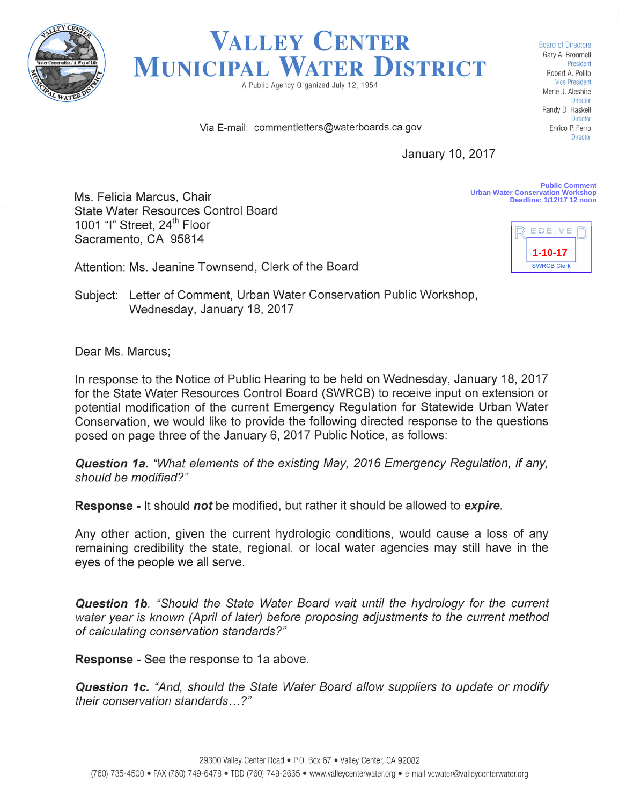

Valley Center **MUNICIPAL WATER DISTRICT** 

A Public Agency Organized July 12, 1954

Via E-mail: commentletters@waterboards.ca.gov

Board of Directors Gary A.Broomell President Robert A. Polite Vice Presideni Merle J. Aleshire **Director** Randy D. Haskell **Director** Enrico P. Ferro **Director** 

**Public Comment**

**Urban Water Conservation Workshop Deadline: 1/12/17 12 noon**

**1-10-17**

**SWRCB Cler** 

ECEIVE

January 10, 2017

Ms. Felicia Marcus, Chair State Water Resources Control Board 1001 "I" Street, 24<sup>th</sup> Floor Sacramento, CA 95814

Attention; Ms. Jeanine Townsend, Clerk of the Board

Subject: Letter of Comment, Urban Water Conservation Public Workshop, Wednesday, January 18, 2017

Dear Ms. Marcus;

In response to the Notice of Public Hearing to be held on Wednesday, January 18, 2017 for the State Water Resources Control Board (SWRCB) to receive input on extension or potential modification of the current Emergency Regulation for Statewide Urban Water Conservation, we would like to provide the following directed response to the questions posed on page three of the January 6, 2017 Public Notice, as follows:

Question 1a. "What elements of the existing May, 2016 Emergency Regulation, if any, should be modified?"

**Response - It should not be modified, but rather it should be allowed to expire.** 

Any other action, given the current hydrologic conditions, would cause a loss of any remaining credibility the state, regional, or local water agencies may still have in the eyes of the people we all serve.

Question 1b. "Should the State Water Board wait until the hydrology for the current water year is known (April of later) before proposing adjustments to the current method of calculating conservation standards?"

**Response - See the response to 1a above.** 

**Question 1c.** "And, should the State Water Board allow suppliers to update or modify their conservation standards... ?"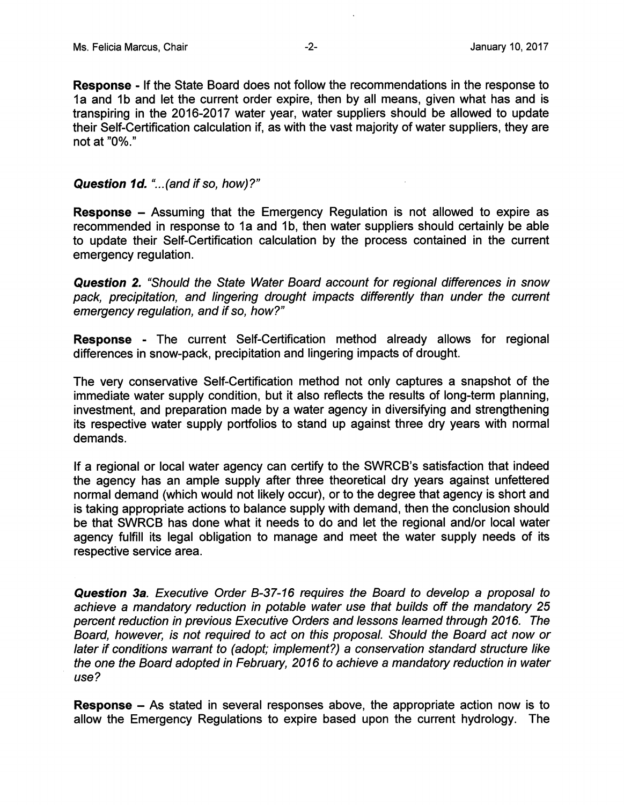**Response - If the State Board does not follow the recommendations in the response to** 1a and 1b and let the current order expire, then by all means, given what has and is transpiring in the 2016-2017 water year, water suppliers should be allowed to update their Self-Certification calculation if, as with the vast majority of water suppliers, they are not at "0%."

## Question 1d. "...(and if so, how)?"

Response – Assuming that the Emergency Regulation is not allowed to expire as recommended in response to 1a and 1b, then water suppliers should certainly be able to update their Self-Certification calculation by the process contained in the current emergency regulation.

Question 2. "Should the State Water Board account for regional differences in snow pack, precipitation, and lingering drought impacts differently than under the current emergency regulation, and if so, how?"

Response - The current Self-Certification method already allows for regional differences in snow-pack, precipitation and lingering impacts of drought.

The very conservative Self-Certification method not only captures a snapshot of the immediate water supply condition, but it also reflects the results of long-term planning, investment, and preparation made by a water agency in diversifying and strengthening its respective water supply portfolios to stand up against three dry years with normal demands.

If a regional or local water agency can certify to the SWRCB's satisfaction that indeed the agency has an ample supply after three theoretical dry years against unfettered normal demand (which would not likely occur), or to the degree that agency is short and is taking appropriate actions to balance supply with demand, then the conclusion should be that SWRCB has done what it needs to do and let the regional and/or local water agency fulfill its legal obligation to manage and meet the water supply needs of its respective service area.

Question 3a. Executive Order B-37-16 requires the Board to develop a proposal to achieve a mandatory reduction in potable water use that builds off the mandatory 25 percent reduction in previous Executive Orders and lessons learned through 2016. The Board, however, is not required to act on this proposal. Should the Board act now or later if conditions warrant to (adopt; implement?) a conservation standard structure like the one the Board adopted in February, 2016 to achieve a mandatory reduction in water use?

Response - As stated in several responses above, the appropriate action now is to allow the Emergency Regulations to expire based upon the current hydrology. The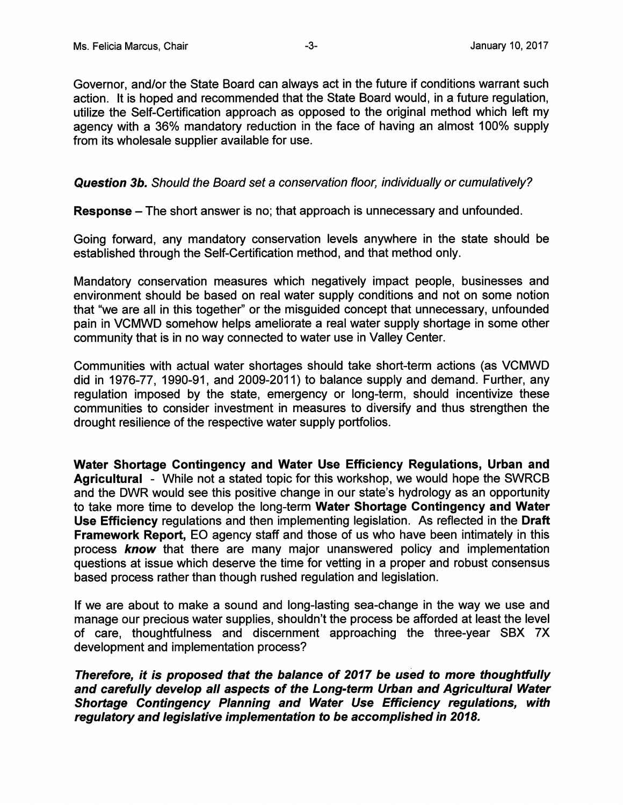Governor, and/or the State Board can always act in the future if conditions warrant such action. It is hoped and recommended that the State Board would, in a future regulation, utilize the Self-Certification approach as opposed to the original method which left my agency with a 36% mandatory reduction in the face of having an almost 100% supply from its wholesale supplier available for use.

## Question 3b. Should the Board set a conservation floor, individually or cumulatively?

Response – The short answer is no; that approach is unnecessary and unfounded.

Going fonward, any mandatory conservation levels anywhere in the state should be established through the Self-Certification method, and that method only.

Mandatory conservation measures which negatively impact people, businesses and environment should be based on real water supply conditions and not on some notion that "we are all in this together" or the misguided concept that unnecessary, unfounded pain in VCMWD somehow helps ameliorate a real water supply shortage in some other community that is in no way connected to water use in Valley Center.

Communities with actual water shortages should take short-term actions (as VCMWD did in 1976-77, 1990-91, and 2009-2011) to balance supply and demand. Further, any regulation imposed by the state, emergency or long-term, should incentivize these communities to consider investment in measures to diversify and thus strengthen the drought resilience of the respective water supply portfolios.

Water Shortage Contingency and Water Use Efficiency Regulations, Urban and Agricultural - While not a stated topic for this workshop, we would hope the SWRCB and the DWR would see this positive change in our state's hydrology as an opportunity to take more time to develop the long-term Water Shortage Contingency and Water Use Efficiency regulations and then implementing legislation. As reflected in the Draft Framework Report, EO agency staff and those of us who have been intimately in this process know that there are many major unanswered policy and implementation questions at issue which deserve the time for vetting in a proper and robust consensus based process rather than though rushed regulation and legislation.

If we are about to make a sound and long-lasting sea-change in the way we use and manage our precious water supplies, shouldn't the process be afforded at least the level of care, thoughtfulness and discernment approaching the three-year SBX 7X development and implementation process?

Therefore, it is proposed that the balance of 2017 be used to more thoughtfully and carefully develop all aspects of the Long-term Urban and Agricultural Water Shortage Contingency Planning and Water Use Efficiency regulations, with regulatory and legislative implementation to be accomplished in 2018.